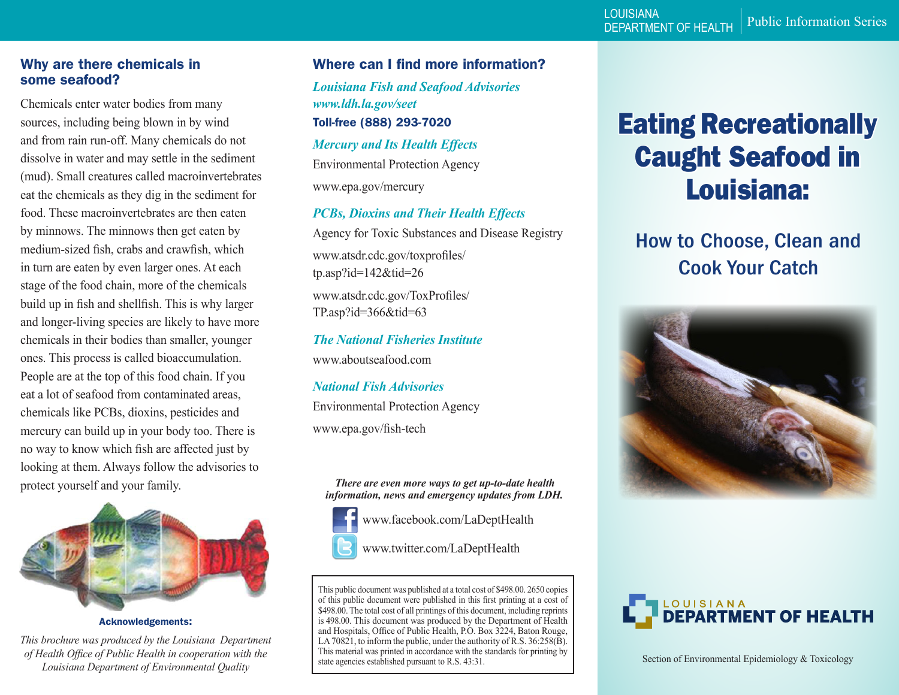#### Why are there chemicals in some seafood?

Chemicals enter water bodies from many sources, including being blown in by wind and from rain run-off. Many chemicals do not dissolve in water and may settle in the sediment (mud). Small creatures called macroinvertebrates eat the chemicals as they dig in the sediment for food. These macroinvertebrates are then eaten by minnows. The minnows then get eaten by medium-sized fish, crabs and crawfish, which in turn are eaten by even larger ones. At each stage of the food chain, more of the chemicals build up in fish and shellfish. This is why larger and longer-living species are likely to have more chemicals in their bodies than smaller, younger ones. This process is called bioaccumulation. People are at the top of this food chain. If you eat a lot of seafood from contaminated areas, chemicals like PCBs, dioxins, pesticides and mercury can build up in your body too. There is no way to know which fish are affected just by looking at them. Always follow the advisories to protect yourself and your family.



Acknowledgements:

*This brochure was produced by the Louisiana Department of Health Office of Public Health in cooperation with the Louisiana Department of Environmental Quality*

### Where can I find more information?

*Louisiana Fish and Seafood Advisories www.ldh.la.gov/seet*  Toll-free (888) 293-7020 *Mercury and Its Health Effects* Environmental Protection Agency

www.epa.gov/mercury

*PCBs, Dioxins and Their Health Effects* Agency for Toxic Substances and Disease Registry www.atsdr.cdc.gov/toxprofiles/ tp.asp?id=142&tid=26 www.atsdr.cdc.gov/ToxProfiles/

TP.asp?id=366&tid=63

*The National Fisheries Institute* www.aboutseafood.com

*National Fish Advisories* Environmental Protection Agency www.epa.gov/fish-tech

*There are even more ways to get up-to-date health information, news and emergency updates from LDH.* 



www.facebook.com/LaDeptHealth

www.twitter.com/LaDeptHealth

This public document was published at a total cost of \$498.00. 2650 copies of this public document were published in this first printing at a cost of \$498.00. The total cost of all printings of this document, including reprints is 498.00. This document was produced by the Department of Health and Hospitals, Office of Public Health, P.O. Box 3224, Baton Rouge, LA 70821, to inform the public, under the authority of R.S. 36:258(B). This material was printed in accordance with the standards for printing by state agencies established pursuant to R.S. 43:31.

# Eating Recreationally Caught Seafood in Louisiana:

# How to Choose, Clean and Cook Your Catch





Section of Environmental Epidemiology & Toxicology